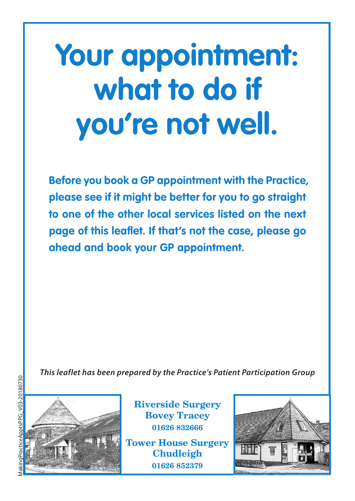# **Your appointment: what to do if you're not well.**

**Before you book a GP appointment with the Practice, please see if it might be better for you to go straight to one of the other local services listed on the next page of this leaflet. If that's not the case, please go ahead and book your GP appointment.**

*This leaflet has been prepared by the Practice's Patient Participation Group*



**Riverside Surgery Bovey Tracey 01626 832666**

**Tower House Surgery Chudleigh 01626 852379**

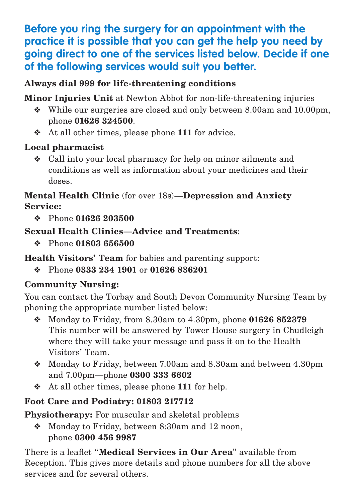## **Before you ring the surgery for an appointment with the practice it is possible that you can get the help you need by going direct to one of the services listed below. Decide if one of the following services would suit you better.**

#### **Always dial 999 for life-threatening conditions**

**Minor Injuries Unit** at Newton Abbot for non-life-threatening injuries

- ❖ While our surgeries are closed and only between 8.00am and 10.00pm, phone **01626 324500**.
- ❖ At all other times, please phone **111** for advice.

#### **Local pharmacist**

❖ Call into your local pharmacy for help on minor ailments and conditions as well as information about your medicines and their doses.

#### **Mental Health Clinic** (for over 18s)**—Depression and Anxiety Service:**

❖ Phone **01626 203500**

#### **Sexual Health Clinics—Advice and Treatments**:

❖ Phone **01803 656500**

### **Health Visitors' Team** for babies and parenting support:

❖ Phone **0333 234 1901** or **01626 836201**

### **Community Nursing:**

You can contact the Torbay and South Devon Community Nursing Team by phoning the appropriate number listed below:

- ❖ Monday to Friday, from 8.30am to 4.30pm, phone **01626 852379** This number will be answered by Tower House surgery in Chudleigh where they will take your message and pass it on to the Health Visitors' Team.
- ❖ Monday to Friday, between 7.00am and 8.30am and between 4.30pm and 7.00pm—phone **0300 333 6602**
- ❖ At all other times, please phone **111** for help.

### **Foot Care and Podiatry: 01803 217712**

**Physiotherapy:** For muscular and skeletal problems

❖ Monday to Friday, between 8:30am and 12 noon, phone **0300 456 9987**

There is a leaflet "**Medical Services in Our Area**" available from Reception. This gives more details and phone numbers for all the above services and for several others.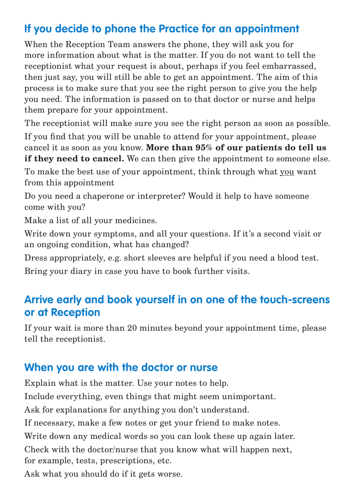# **If you decide to phone the Practice for an appointment**

When the Reception Team answers the phone, they will ask you for more information about what is the matter. If you do not want to tell the receptionist what your request is about, perhaps if you feel embarrassed, then just say, you will still be able to get an appointment. The aim of this process is to make sure that you see the right person to give you the help you need. The information is passed on to that doctor or nurse and helps them prepare for your appointment.

The receptionist will make sure you see the right person as soon as possible.

If you find that you will be unable to attend for your appointment, please cancel it as soon as you know. **More than 95% of our patients do tell us if they need to cancel.** We can then give the appointment to someone else.

To make the best use of your appointment, think through what you want from this appointment

Do you need a chaperone or interpreter? Would it help to have someone come with you?

Make a list of all your medicines.

Write down your symptoms, and all your questions. If it's a second visit or an ongoing condition, what has changed?

Dress appropriately, e.g. short sleeves are helpful if you need a blood test. Bring your diary in case you have to book further visits.

## **Arrive early and book yourself in on one of the touch-screens or at Reception**

If your wait is more than 20 minutes beyond your appointment time, please tell the receptionist.

### **When you are with the doctor or nurse**

Explain what is the matter. Use your notes to help.

Include everything, even things that might seem unimportant.

Ask for explanations for anything you don't understand.

If necessary, make a few notes or get your friend to make notes.

Write down any medical words so you can look these up again later.

Check with the doctor/nurse that you know what will happen next, for example, tests, prescriptions, etc.

Ask what you should do if it gets worse.